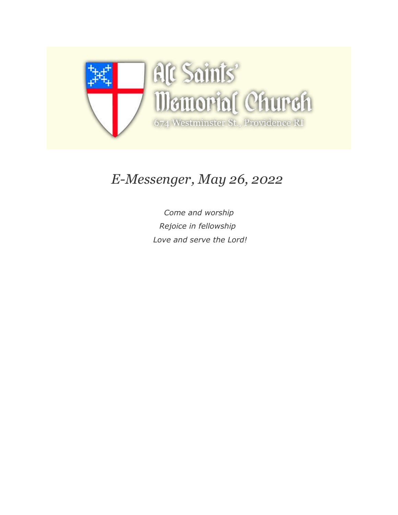

# *E-Messenger, May 26, 2022*

*Come and worship Rejoice in fellowship Love and serve the Lord!*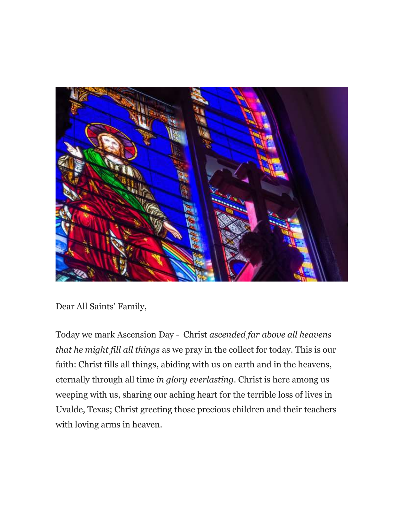

Dear All Saints' Family,

Today we mark Ascension Day - Christ *ascended far above all heavens that he might fill all things* as we pray in the collect for today. This is our faith: Christ fills all things, abiding with us on earth and in the heavens, eternally through all time *in glory everlasting*. Christ is here among us weeping with us, sharing our aching heart for the terrible loss of lives in Uvalde, Texas; Christ greeting those precious children and their teachers with loving arms in heaven.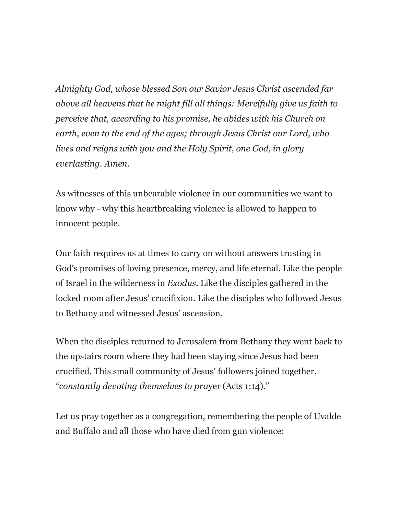*Almighty God, whose blessed Son our Savior Jesus Christ ascended far above all heavens that he might fill all things: Mercifully give us faith to perceive that, according to his promise, he abides with his Church on earth, even to the end of the ages; through Jesus Christ our Lord, who lives and reigns with you and the Holy Spirit, one God, in glory everlasting. Amen.*

As witnesses of this unbearable violence in our communities we want to know why - why this heartbreaking violence is allowed to happen to innocent people.

Our faith requires us at times to carry on without answers trusting in God's promises of loving presence, mercy, and life eternal. Like the people of Israel in the wilderness in *Exodus.* Like the disciples gathered in the locked room after Jesus' crucifixion. Like the disciples who followed Jesus to Bethany and witnessed Jesus' ascension.

When the disciples returned to Jerusalem from Bethany they went back to the upstairs room where they had been staying since Jesus had been crucified. This small community of Jesus' followers joined together, "*constantly devoting themselves to pra*yer (Acts 1:14)."

Let us pray together as a congregation, remembering the people of Uvalde and Buffalo and all those who have died from gun violence: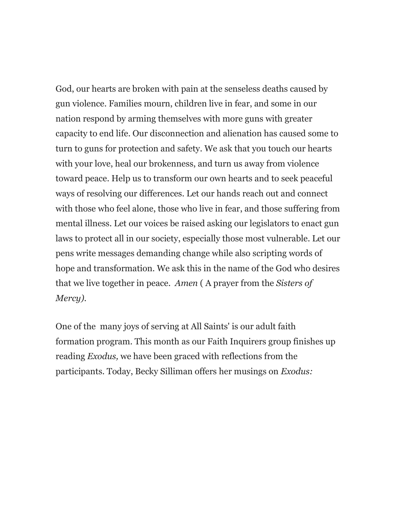God, our hearts are broken with pain at the senseless deaths caused by gun violence. Families mourn, children live in fear, and some in our nation respond by arming themselves with more guns with greater capacity to end life. Our disconnection and alienation has caused some to turn to guns for protection and safety. We ask that you touch our hearts with your love, heal our brokenness, and turn us away from violence toward peace. Help us to transform our own hearts and to seek peaceful ways of resolving our differences. Let our hands reach out and connect with those who feel alone, those who live in fear, and those suffering from mental illness. Let our voices be raised asking our legislators to enact gun laws to protect all in our society, especially those most vulnerable. Let our pens write messages demanding change while also scripting words of hope and transformation. We ask this in the name of the God who desires that we live together in peace. *Amen* ( A prayer from the *Sisters of Mercy).*

One of the many joys of serving at All Saints' is our adult faith formation program. This month as our Faith Inquirers group finishes up reading *Exodus,* we have been graced with reflections from the participants. Today, Becky Silliman offers her musings on *Exodus:*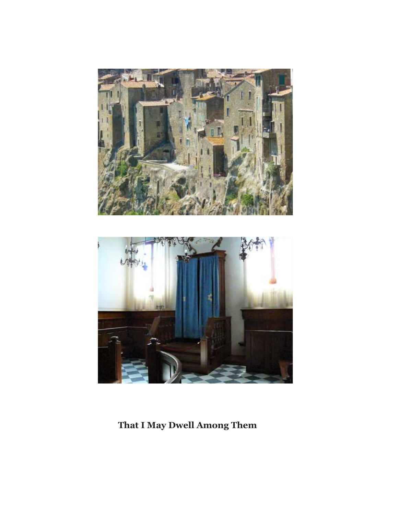



**That I May Dwell Among Them**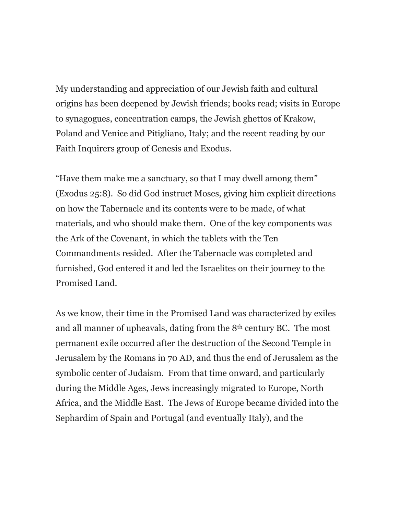My understanding and appreciation of our Jewish faith and cultural origins has been deepened by Jewish friends; books read; visits in Europe to synagogues, concentration camps, the Jewish ghettos of Krakow, Poland and Venice and Pitigliano, Italy; and the recent reading by our Faith Inquirers group of Genesis and Exodus.

"Have them make me a sanctuary, so that I may dwell among them" (Exodus 25:8). So did God instruct Moses, giving him explicit directions on how the Tabernacle and its contents were to be made, of what materials, and who should make them. One of the key components was the Ark of the Covenant, in which the tablets with the Ten Commandments resided. After the Tabernacle was completed and furnished, God entered it and led the Israelites on their journey to the Promised Land.

As we know, their time in the Promised Land was characterized by exiles and all manner of upheavals, dating from the 8th century BC. The most permanent exile occurred after the destruction of the Second Temple in Jerusalem by the Romans in 70 AD, and thus the end of Jerusalem as the symbolic center of Judaism. From that time onward, and particularly during the Middle Ages, Jews increasingly migrated to Europe, North Africa, and the Middle East. The Jews of Europe became divided into the Sephardim of Spain and Portugal (and eventually Italy), and the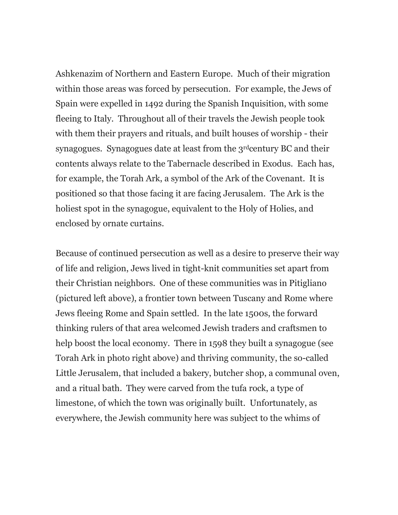Ashkenazim of Northern and Eastern Europe. Much of their migration within those areas was forced by persecution. For example, the Jews of Spain were expelled in 1492 during the Spanish Inquisition, with some fleeing to Italy. Throughout all of their travels the Jewish people took with them their prayers and rituals, and built houses of worship - their synagogues. Synagogues date at least from the 3<sup>rd</sup>century BC and their contents always relate to the Tabernacle described in Exodus. Each has, for example, the Torah Ark, a symbol of the Ark of the Covenant. It is positioned so that those facing it are facing Jerusalem. The Ark is the holiest spot in the synagogue, equivalent to the Holy of Holies, and enclosed by ornate curtains.

Because of continued persecution as well as a desire to preserve their way of life and religion, Jews lived in tight-knit communities set apart from their Christian neighbors. One of these communities was in Pitigliano (pictured left above), a frontier town between Tuscany and Rome where Jews fleeing Rome and Spain settled. In the late 1500s, the forward thinking rulers of that area welcomed Jewish traders and craftsmen to help boost the local economy. There in 1598 they built a synagogue (see Torah Ark in photo right above) and thriving community, the so-called Little Jerusalem, that included a bakery, butcher shop, a communal oven, and a ritual bath. They were carved from the tufa rock, a type of limestone, of which the town was originally built. Unfortunately, as everywhere, the Jewish community here was subject to the whims of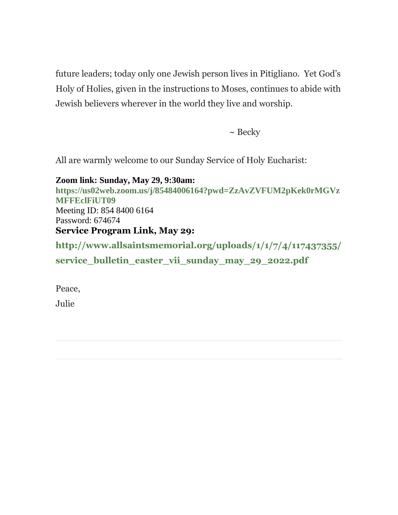future leaders; today only one Jewish person lives in Pitigliano. Yet God's Holy of Holies, given in the instructions to Moses, continues to abide with Jewish believers wherever in the world they live and worship.

 $\sim$  Becky

All are warmly welcome to our Sunday Service of Holy Eucharist:

**Zoom link: Sunday, May 29, 9:30am: [https://us02web.zoom.us/j/85484006164?pwd=ZzAvZVFUM2pKek0rMGVz](https://allsaintsmemorial.us3.list-manage.com/track/click?u=7dd27aa76e5aa692a967a8fe9&id=2d5a7f6049&e=ed2b772c05) [MFFEclFiUT09](https://allsaintsmemorial.us3.list-manage.com/track/click?u=7dd27aa76e5aa692a967a8fe9&id=2d5a7f6049&e=ed2b772c05)** Meeting ID: 854 8400 6164 Password: 674674 **Service Program Link, May 29: [http://www.allsaintsmemorial.org/uploads/1/1/7/4/117437355/](https://allsaintsmemorial.us3.list-manage.com/track/click?u=7dd27aa76e5aa692a967a8fe9&id=2e10a43aad&e=ed2b772c05)**

service bulletin easter vii sunday may 29 2022.pdf

Peace,

Julie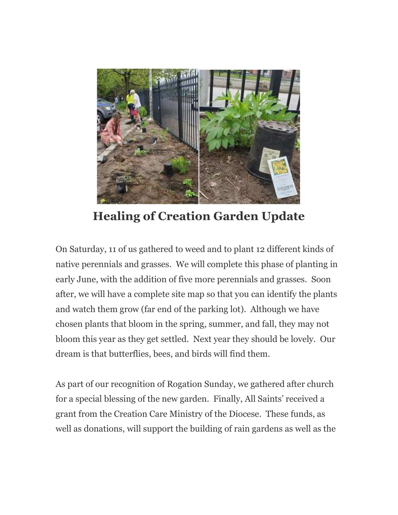

**Healing of Creation Garden Update**

On Saturday, 11 of us gathered to weed and to plant 12 different kinds of native perennials and grasses. We will complete this phase of planting in early June, with the addition of five more perennials and grasses. Soon after, we will have a complete site map so that you can identify the plants and watch them grow (far end of the parking lot). Although we have chosen plants that bloom in the spring, summer, and fall, they may not bloom this year as they get settled. Next year they should be lovely. Our dream is that butterflies, bees, and birds will find them.

As part of our recognition of Rogation Sunday, we gathered after church for a special blessing of the new garden. Finally, All Saints' received a grant from the Creation Care Ministry of the Diocese. These funds, as well as donations, will support the building of rain gardens as well as the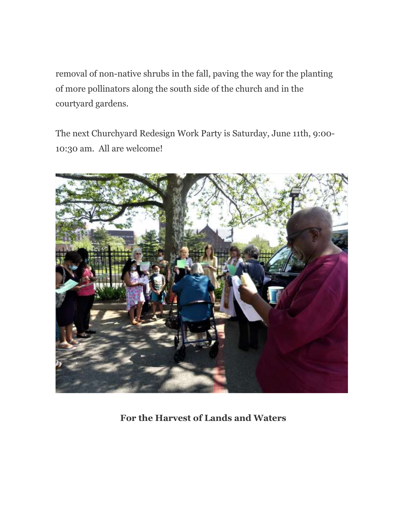removal of non-native shrubs in the fall, paving the way for the planting of more pollinators along the south side of the church and in the courtyard gardens.

The next Churchyard Redesign Work Party is Saturday, June 11th, 9:00- 10:30 am. All are welcome!



**For the Harvest of Lands and Waters**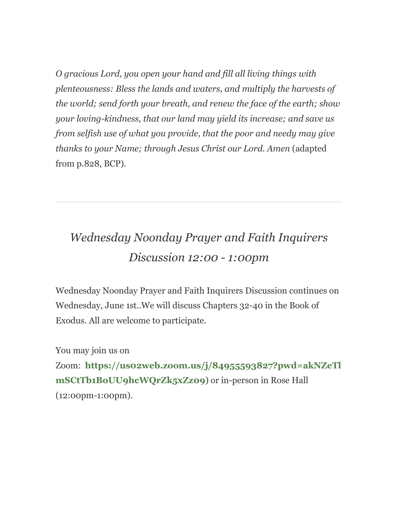*O gracious Lord, you open your hand and fill all living things with plenteousness: Bless the lands and waters, and multiply the harvests of the world; send forth your breath, and renew the face of the earth; show your loving-kindness, that our land may yield its increase; and save us from selfish use of what you provide, that the poor and needy may give thanks to your Name; through Jesus Christ our Lord. Amen* (adapted from p.828, BCP)*.*

# *Wednesday Noonday Prayer and Faith Inquirers Discussion 12:00 - 1:00pm*

Wednesday Noonday Prayer and Faith Inquirers Discussion continues on Wednesday, June 1st..We will discuss Chapters 32-40 in the Book of Exodus. All are welcome to participate.

You may join us on

Zoom: **[https://us02web.zoom.us/j/84955593827?pwd=akNZeTl](https://allsaintsmemorial.us3.list-manage.com/track/click?u=7dd27aa76e5aa692a967a8fe9&id=7607d857c5&e=ed2b772c05) [mSCtTb1BoUU9hcWQrZk5xZz09](https://allsaintsmemorial.us3.list-manage.com/track/click?u=7dd27aa76e5aa692a967a8fe9&id=7607d857c5&e=ed2b772c05)**) or in-person in Rose Hall (12:00pm-1:00pm).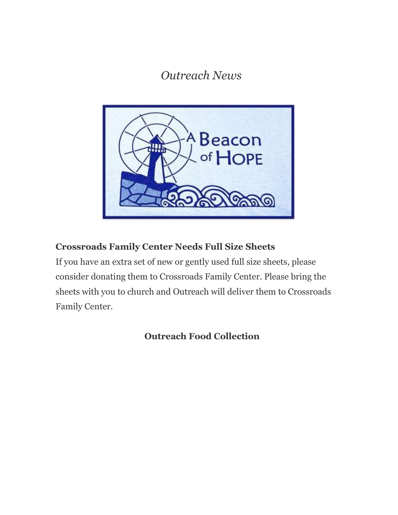*Outreach News*



### **Crossroads Family Center Needs Full Size Sheets**

If you have an extra set of new or gently used full size sheets, please consider donating them to Crossroads Family Center. Please bring the sheets with you to church and Outreach will deliver them to Crossroads Family Center.

**Outreach Food Collection**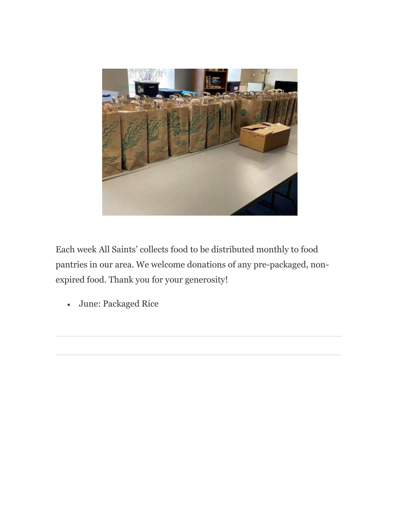

Each week All Saints' collects food to be distributed monthly to food pantries in our area. We welcome donations of any pre-packaged, nonexpired food. Thank you for your generosity!

June: Packaged Rice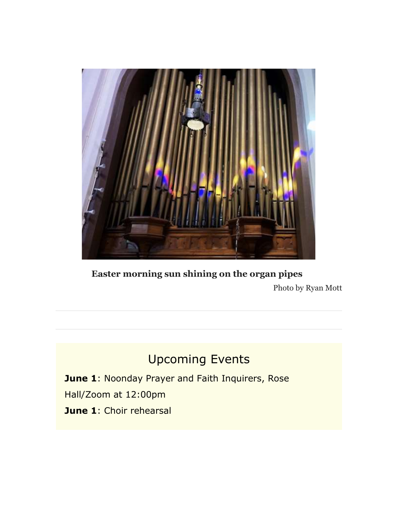

**Easter morning sun shining on the organ pipes** Photo by Ryan Mott

## Upcoming Events

**June 1**: Noonday Prayer and Faith Inquirers, Rose Hall/Zoom at 12:00pm **June 1**: Choir rehearsal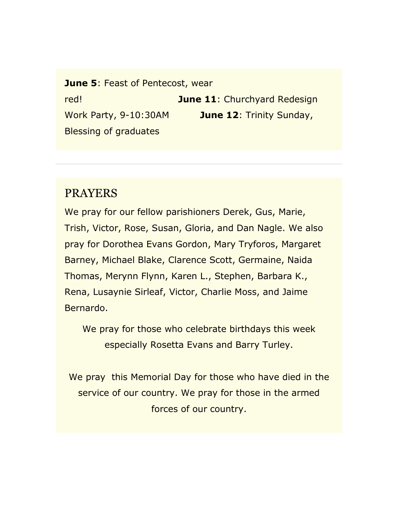**June 5: Feast of Pentecost, wear** red! **June 11**: Churchyard Redesign Work Party, 9-10:30AM **June 12**: Trinity Sunday, Blessing of graduates

## PRAYERS

We pray for our fellow parishioners Derek, Gus, Marie, Trish, Victor, Rose, Susan, Gloria, and Dan Nagle. We also pray for Dorothea Evans Gordon, Mary Tryforos, Margaret Barney, Michael Blake, Clarence Scott, Germaine, Naida Thomas, Merynn Flynn, Karen L., Stephen, Barbara K., Rena, Lusaynie Sirleaf, Victor, Charlie Moss, and Jaime Bernardo.

We pray for those who celebrate birthdays this week especially Rosetta Evans and Barry Turley.

We pray this Memorial Day for those who have died in the service of our country. We pray for those in the armed forces of our country.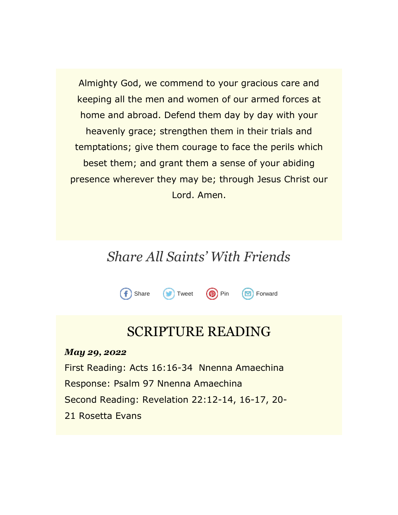Almighty God, we commend to your gracious care and keeping all the men and women of our armed forces at home and abroad. Defend them day by day with your heavenly grace; strengthen them in their trials and temptations; give them courage to face the perils which beset them; and grant them a sense of your abiding presence wherever they may be; through Jesus Christ our Lord. Amen.

## *Share All Saints' With Friends*



## SCRIPTURE READING

*May 29, 2022*

f

First Reading: Acts 16:16-34 Nnenna Amaechina Response: Psalm 97 Nnenna Amaechina Second Reading: Revelation 22:12-14, 16-17, 20- 21 Rosetta Evans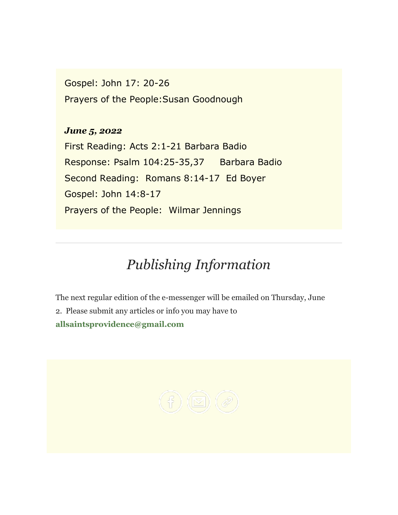Gospel: John 17: 20-26 Prayers of the People:Susan Goodnough

## *June 5, 2022*

First Reading: Acts 2:1-21 Barbara Badio Response: Psalm 104:25-35,37 Barbara Badio Second Reading: Romans 8:14-17 Ed Boyer Gospel: John 14:8-17 Prayers of the People: Wilmar Jennings

# *Publishing Information*

The next regular edition of the e-messenger will be emailed on Thursday, June 2. Please submit any articles or info you may have to **[allsaintsprovidence@gmail.com](https://allsaintsmemorial.us3.list-manage.com/track/click?u=7dd27aa76e5aa692a967a8fe9&id=9f8a4b1a40&e=ed2b772c05)**

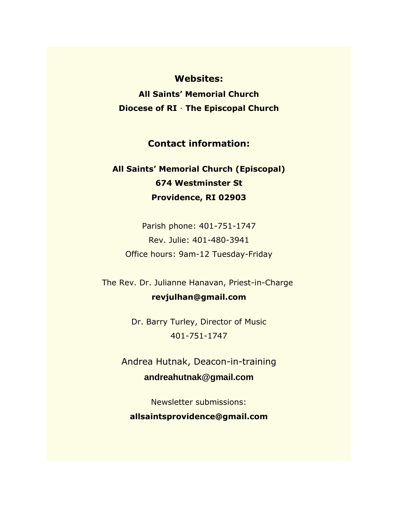#### **Websites:**

**[All Saints' Memorial Church](https://allsaintsmemorial.us3.list-manage.com/track/click?u=7dd27aa76e5aa692a967a8fe9&id=14aedb6423&e=ed2b772c05) [Diocese of RI](https://allsaintsmemorial.us3.list-manage.com/track/click?u=7dd27aa76e5aa692a967a8fe9&id=a864347366&e=ed2b772c05)** · **[The Episcopal Church](https://allsaintsmemorial.us3.list-manage.com/track/click?u=7dd27aa76e5aa692a967a8fe9&id=121375ba79&e=ed2b772c05)**

### **Contact information:**

## **All Saints' Memorial Church (Episcopal) 674 Westminster St Providence, RI 02903**

Parish phone: 401-751-1747 Rev. Julie: 401-480-3941 Office hours: 9am-12 Tuesday-Friday

The Rev. Dr. Julianne Hanavan, Priest-in-Charge **[revjulhan@gmail.com](mailto:revjulhan@gmail.com?subject=Response%20to%20e-Parish%20Messenger)**

> Dr. Barry Turley, Director of Music 401-751-1747

Andrea Hutnak, Deacon-in-training **[andreahutnak@gmail.com](mailto:andreahutnak@gmail.com)**

Newsletter submissions: **[allsaintsprovidence@gmail.com](mailto:allsaintsprovidence@gmail.com)**